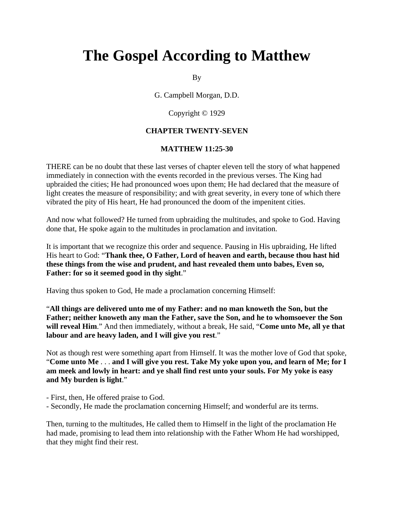# **The Gospel According to Matthew**

By

G. Campbell Morgan, D.D.

Copyright © 1929

#### **CHAPTER TWENTY-SEVEN**

### **MATTHEW 11:25-30**

THERE can be no doubt that these last verses of chapter eleven tell the story of what happened immediately in connection with the events recorded in the previous verses. The King had upbraided the cities; He had pronounced woes upon them; He had declared that the measure of light creates the measure of responsibility; and with great severity, in every tone of which there vibrated the pity of His heart, He had pronounced the doom of the impenitent cities.

And now what followed? He turned from upbraiding the multitudes, and spoke to God. Having done that, He spoke again to the multitudes in proclamation and invitation.

It is important that we recognize this order and sequence. Pausing in His upbraiding, He lifted His heart to God: "**Thank thee, O Father, Lord of heaven and earth, because thou hast hid these things from the wise and prudent, and hast revealed them unto babes, Even so, Father: for so it seemed good in thy sight**."

Having thus spoken to God, He made a proclamation concerning Himself:

"**All things are delivered unto me of my Father: and no man knoweth the Son, but the Father; neither knoweth any man the Father, save the Son, and he to whomsoever the Son will reveal Him**." And then immediately, without a break, He said, "**Come unto Me, all ye that labour and are heavy laden, and I will give you rest**."

Not as though rest were something apart from Himself. It was the mother love of God that spoke, "**Come unto Me** . . . **and I will give you rest. Take My yoke upon you, and learn of Me; for I am meek and lowly in heart: and ye shall find rest unto your souls. For My yoke is easy and My burden is light**."

- First, then, He offered praise to God.

- Secondly, He made the proclamation concerning Himself; and wonderful are its terms.

Then, turning to the multitudes, He called them to Himself in the light of the proclamation He had made, promising to lead them into relationship with the Father Whom He had worshipped, that they might find their rest.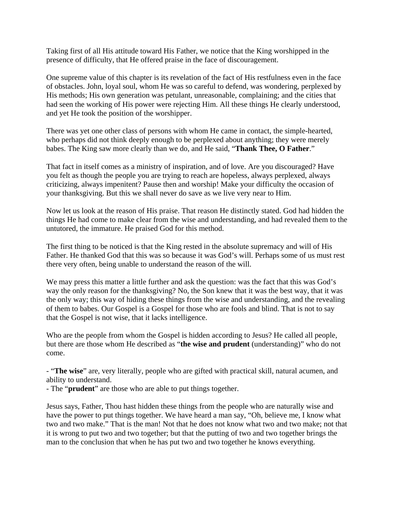Taking first of all His attitude toward His Father, we notice that the King worshipped in the presence of difficulty, that He offered praise in the face of discouragement.

One supreme value of this chapter is its revelation of the fact of His restfulness even in the face of obstacles. John, loyal soul, whom He was so careful to defend, was wondering, perplexed by His methods; His own generation was petulant, unreasonable, complaining; and the cities that had seen the working of His power were rejecting Him. All these things He clearly understood, and yet He took the position of the worshipper.

There was yet one other class of persons with whom He came in contact, the simple-hearted, who perhaps did not think deeply enough to be perplexed about anything; they were merely babes. The King saw more clearly than we do, and He said, "**Thank Thee, O Father**."

That fact in itself comes as a ministry of inspiration, and of love. Are you discouraged? Have you felt as though the people you are trying to reach are hopeless, always perplexed, always criticizing, always impenitent? Pause then and worship! Make your difficulty the occasion of your thanksgiving. But this we shall never do save as we live very near to Him.

Now let us look at the reason of His praise. That reason He distinctly stated. God had hidden the things He had come to make clear from the wise and understanding, and had revealed them to the untutored, the immature. He praised God for this method.

The first thing to be noticed is that the King rested in the absolute supremacy and will of His Father. He thanked God that this was so because it was God's will. Perhaps some of us must rest there very often, being unable to understand the reason of the will.

We may press this matter a little further and ask the question: was the fact that this was God's way the only reason for the thanksgiving? No, the Son knew that it was the best way, that it was the only way; this way of hiding these things from the wise and understanding, and the revealing of them to babes. Our Gospel is a Gospel for those who are fools and blind. That is not to say that the Gospel is not wise, that it lacks intelligence.

Who are the people from whom the Gospel is hidden according to Jesus? He called all people, but there are those whom He described as "**the wise and prudent** (understanding)" who do not come.

- "**The wise**" are, very literally, people who are gifted with practical skill, natural acumen, and ability to understand.

- The "**prudent**" are those who are able to put things together.

Jesus says, Father, Thou hast hidden these things from the people who are naturally wise and have the power to put things together. We have heard a man say, "Oh, believe me, I know what two and two make." That is the man! Not that he does not know what two and two make; not that it is wrong to put two and two together; but that the putting of two and two together brings the man to the conclusion that when he has put two and two together he knows everything.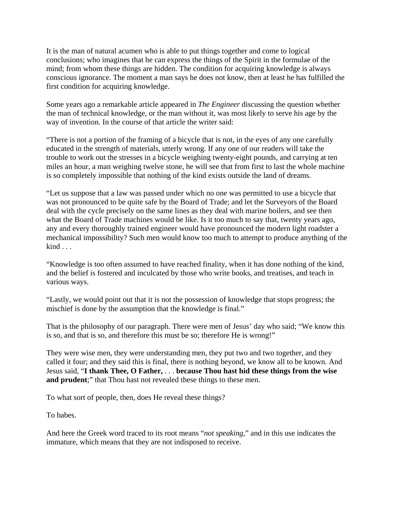It is the man of natural acumen who is able to put things together and come to logical conclusions; who imagines that he can express the things of the Spirit in the formulae of the mind; from whom these things are hidden. The condition for acquiring knowledge is always conscious ignorance. The moment a man says he does not know, then at least he has fulfilled the first condition for acquiring knowledge.

Some years ago a remarkable article appeared in *The Engineer* discussing the question whether the man of technical knowledge, or the man without it, was most likely to serve his age by the way of invention. In the course of that article the writer said:

"There is not a portion of the framing of a bicycle that is not, in the eyes of any one carefully educated in the strength of materials, utterly wrong. If any one of our readers will take the trouble to work out the stresses in a bicycle weighing twenty-eight pounds, and carrying at ten miles an hour, a man weighing twelve stone, he will see that from first to last the whole machine is so completely impossible that nothing of the kind exists outside the land of dreams.

"Let us suppose that a law was passed under which no one was permitted to use a bicycle that was not pronounced to be quite safe by the Board of Trade; and let the Surveyors of the Board deal with the cycle precisely on the same lines as they deal with marine boilers, and see then what the Board of Trade machines would be like. Is it too much to say that, twenty years ago, any and every thoroughly trained engineer would have pronounced the modern light roadster a mechanical impossibility? Such men would know too much to attempt to produce anything of the  $kind \dots$ 

"Knowledge is too often assumed to have reached finality, when it has done nothing of the kind, and the belief is fostered and inculcated by those who write books, and treatises, and teach in various ways.

"Lastly, we would point out that it is not the possession of knowledge that stops progress; the mischief is done by the assumption that the knowledge is final."

That is the philosophy of our paragraph. There were men of Jesus' day who said; "We know this is so, and that is so, and therefore this must be so; therefore He is wrong!"

They were wise men, they were understanding men, they put two and two together, and they called it four; and they said this is final, there is nothing beyond, we know all to be known. And Jesus said, "**I thank Thee, O Father,** . . . **because Thou hast hid these things from the wise and prudent**;" that Thou hast not revealed these things to these men.

To what sort of people, then, does He reveal these things?

To babes.

And here the Greek word traced to its root means "*not speaking*," and in this use indicates the immature, which means that they are not indisposed to receive.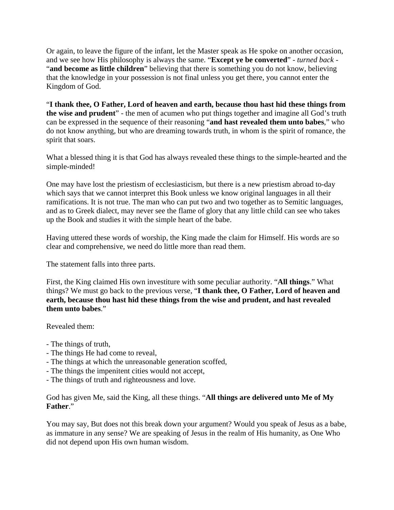Or again, to leave the figure of the infant, let the Master speak as He spoke on another occasion, and we see how His philosophy is always the same. "**Except ye be converted**" - *turned back* - "**and become as little children**" believing that there is something you do not know, believing that the knowledge in your possession is not final unless you get there, you cannot enter the Kingdom of God.

"**I thank thee, O Father, Lord of heaven and earth, because thou hast hid these things from the wise and prudent**" - the men of acumen who put things together and imagine all God's truth can be expressed in the sequence of their reasoning "**and hast revealed them unto babes**," who do not know anything, but who are dreaming towards truth, in whom is the spirit of romance, the spirit that soars.

What a blessed thing it is that God has always revealed these things to the simple-hearted and the simple-minded!

One may have lost the priestism of ecclesiasticism, but there is a new priestism abroad to-day which says that we cannot interpret this Book unless we know original languages in all their ramifications. It is not true. The man who can put two and two together as to Semitic languages, and as to Greek dialect, may never see the flame of glory that any little child can see who takes up the Book and studies it with the simple heart of the babe.

Having uttered these words of worship, the King made the claim for Himself. His words are so clear and comprehensive, we need do little more than read them.

The statement falls into three parts.

First, the King claimed His own investiture with some peculiar authority. "**All things**." What things? We must go back to the previous verse, "**I thank thee, O Father, Lord of heaven and earth, because thou hast hid these things from the wise and prudent, and hast revealed them unto babes**."

Revealed them:

- The things of truth,
- The things He had come to reveal,
- The things at which the unreasonable generation scoffed,
- The things the impenitent cities would not accept,
- The things of truth and righteousness and love.

God has given Me, said the King, all these things. "**All things are delivered unto Me of My Father**."

You may say, But does not this break down your argument? Would you speak of Jesus as a babe, as immature in any sense? We are speaking of Jesus in the realm of His humanity, as One Who did not depend upon His own human wisdom.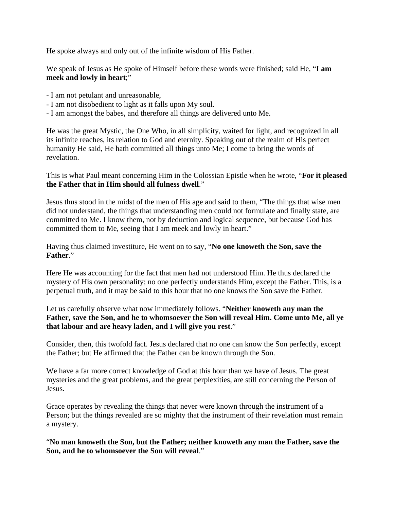He spoke always and only out of the infinite wisdom of His Father.

We speak of Jesus as He spoke of Himself before these words were finished; said He, "**I am meek and lowly in heart**;"

- I am not petulant and unreasonable,
- I am not disobedient to light as it falls upon My soul.
- I am amongst the babes, and therefore all things are delivered unto Me.

He was the great Mystic, the One Who, in all simplicity, waited for light, and recognized in all its infinite reaches, its relation to God and eternity. Speaking out of the realm of His perfect humanity He said, He hath committed all things unto Me; I come to bring the words of revelation.

This is what Paul meant concerning Him in the Colossian Epistle when he wrote, "**For it pleased the Father that in Him should all fulness dwell**."

Jesus thus stood in the midst of the men of His age and said to them, "The things that wise men did not understand, the things that understanding men could not formulate and finally state, are committed to Me. I know them, not by deduction and logical sequence, but because God has committed them to Me, seeing that I am meek and lowly in heart."

Having thus claimed investiture, He went on to say, "**No one knoweth the Son, save the Father**."

Here He was accounting for the fact that men had not understood Him. He thus declared the mystery of His own personality; no one perfectly understands Him, except the Father. This, is a perpetual truth, and it may be said to this hour that no one knows the Son save the Father.

Let us carefully observe what now immediately follows. "**Neither knoweth any man the Father, save the Son, and he to whomsoever the Son will reveal Him. Come unto Me, all ye that labour and are heavy laden, and I will give you rest**."

Consider, then, this twofold fact. Jesus declared that no one can know the Son perfectly, except the Father; but He affirmed that the Father can be known through the Son.

We have a far more correct knowledge of God at this hour than we have of Jesus. The great mysteries and the great problems, and the great perplexities, are still concerning the Person of Jesus.

Grace operates by revealing the things that never were known through the instrument of a Person; but the things revealed are so mighty that the instrument of their revelation must remain a mystery.

"**No man knoweth the Son, but the Father; neither knoweth any man the Father, save the Son, and he to whomsoever the Son will reveal**."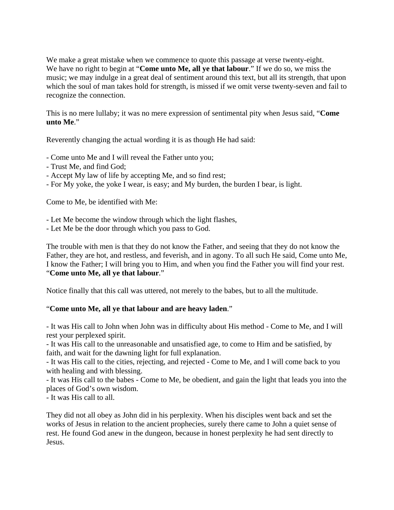We make a great mistake when we commence to quote this passage at verse twenty-eight. We have no right to begin at "**Come unto Me, all ye that labour**." If we do so, we miss the music; we may indulge in a great deal of sentiment around this text, but all its strength, that upon which the soul of man takes hold for strength, is missed if we omit verse twenty-seven and fail to recognize the connection.

This is no mere lullaby; it was no mere expression of sentimental pity when Jesus said, "**Come unto Me**."

Reverently changing the actual wording it is as though He had said:

- Come unto Me and I will reveal the Father unto you;
- Trust Me, and find God;
- Accept My law of life by accepting Me, and so find rest;
- For My yoke, the yoke I wear, is easy; and My burden, the burden I bear, is light.

Come to Me, be identified with Me:

- Let Me become the window through which the light flashes,

- Let Me be the door through which you pass to God.

The trouble with men is that they do not know the Father, and seeing that they do not know the Father, they are hot, and restless, and feverish, and in agony. To all such He said, Come unto Me, I know the Father; I will bring you to Him, and when you find the Father you will find your rest. "**Come unto Me, all ye that labour**."

Notice finally that this call was uttered, not merely to the babes, but to all the multitude.

## "**Come unto Me, all ye that labour and are heavy laden**."

- It was His call to John when John was in difficulty about His method - Come to Me, and I will rest your perplexed spirit.

- It was His call to the unreasonable and unsatisfied age, to come to Him and be satisfied, by faith, and wait for the dawning light for full explanation.

- It was His call to the cities, rejecting, and rejected - Come to Me, and I will come back to you with healing and with blessing.

- It was His call to the babes - Come to Me, be obedient, and gain the light that leads you into the places of God's own wisdom.

- It was His call to all.

They did not all obey as John did in his perplexity. When his disciples went back and set the works of Jesus in relation to the ancient prophecies, surely there came to John a quiet sense of rest. He found God anew in the dungeon, because in honest perplexity he had sent directly to Jesus.